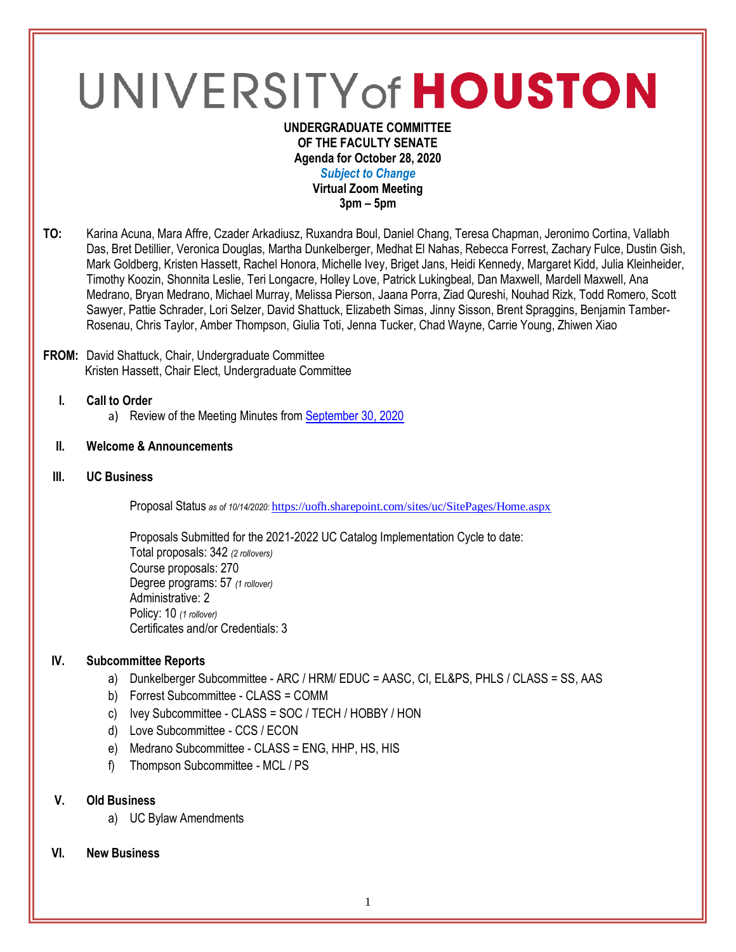# UNIVERSITY of HOUSTON

#### **UNDERGRADUATE COMMITTEE OF THE FACULTY SENATE Agenda for October 28, 2020** *Subject to Change* **Virtual Zoom Meeting 3pm – 5pm**

**TO:** Karina Acuna, Mara Affre, Czader Arkadiusz, Ruxandra Boul, Daniel Chang, Teresa Chapman, Jeronimo Cortina, Vallabh Das, Bret Detillier, Veronica Douglas, Martha Dunkelberger, Medhat El Nahas, Rebecca Forrest, Zachary Fulce, Dustin Gish, Mark Goldberg, Kristen Hassett, Rachel Honora, Michelle Ivey, Briget Jans, Heidi Kennedy, Margaret Kidd, Julia Kleinheider, Timothy Koozin, Shonnita Leslie, Teri Longacre, Holley Love, Patrick Lukingbeal, Dan Maxwell, Mardell Maxwell, Ana Medrano, Bryan Medrano, Michael Murray, Melissa Pierson, Jaana Porra, Ziad Qureshi, Nouhad Rizk, Todd Romero, Scott Sawyer, Pattie Schrader, Lori Selzer, David Shattuck, Elizabeth Simas, Jinny Sisson, Brent Spraggins, Benjamin Tamber-Rosenau, Chris Taylor, Amber Thompson, Giulia Toti, Jenna Tucker, Chad Wayne, Carrie Young, Zhiwen Xiao

### **FROM:** David Shattuck, Chair, Undergraduate Committee Kristen Hassett, Chair Elect, Undergraduate Committee

- **I. Call to Order**
	- a) Review of the Meeting Minutes from [September 30, 2020](https://uh.edu/undergraduate-committee/meetings/agendas-minutes/ay-2021/m_2020_09302.pdf)
- **II. Welcome & Announcements**
- **III. UC Business**

Proposal Status *as of 10/14/2020:* <https://uofh.sharepoint.com/sites/uc/SitePages/Home.aspx>

Proposals Submitted for the 2021-2022 UC Catalog Implementation Cycle to date: Total proposals: 342 *(2 rollovers)* Course proposals: 270 Degree programs: 57 *(1 rollover)* Administrative: 2 Policy: 10 *(1 rollover)* Certificates and/or Credentials: 3

# **IV. Subcommittee Reports**

- a) Dunkelberger Subcommittee ARC / HRM/ EDUC = AASC, CI, EL&PS, PHLS / CLASS = SS, AAS
- b) Forrest Subcommittee CLASS = COMM
- c) Ivey Subcommittee CLASS = SOC / TECH / HOBBY / HON
- d) Love Subcommittee CCS / ECON
- e) Medrano Subcommittee CLASS = ENG, HHP, HS, HIS
- f) Thompson Subcommittee MCL / PS

# **V. Old Business**

a) UC Bylaw Amendments

## **VI. New Business**